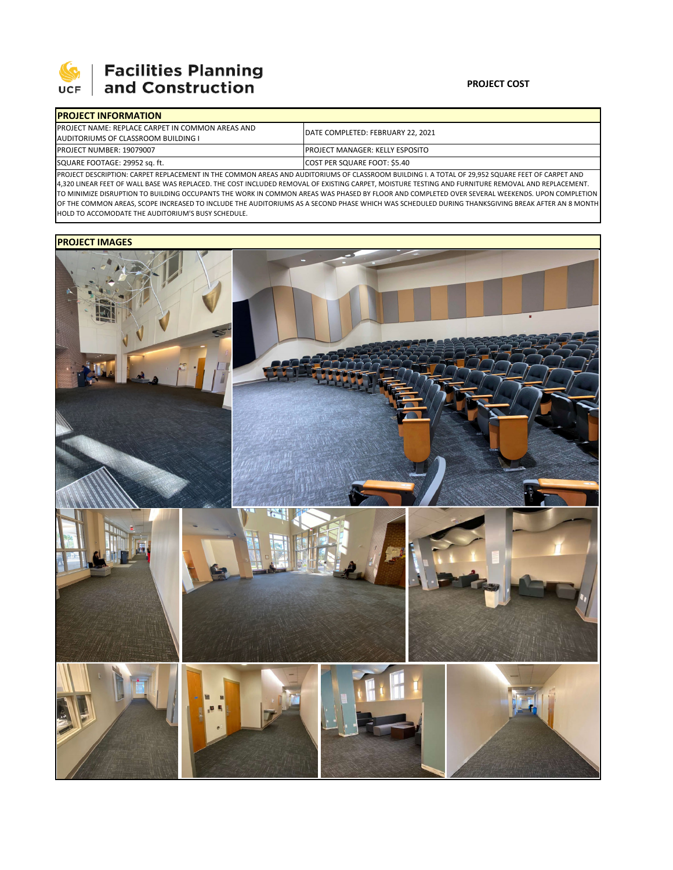

# **Facilities Planning**<br>and Construction

### **PROJECT COST**

| <b>IPROJECT INFORMATION</b>                             |                                         |  |  |  |
|---------------------------------------------------------|-----------------------------------------|--|--|--|
| <b>PROJECT NAME: REPLACE CARPET IN COMMON AREAS AND</b> | IDATE COMPLETED: FEBRUARY 22. 2021      |  |  |  |
| AUDITORIUMS OF CLASSROOM BUILDING I                     |                                         |  |  |  |
| <b>PROJECT NUMBER: 19079007</b>                         | <b>IPROJECT MANAGER: KELLY ESPOSITO</b> |  |  |  |
| SQUARE FOOTAGE: 29952 sq. ft.                           | COST PER SQUARE FOOT: \$5.40            |  |  |  |

PROJECT DESCRIPTION: CARPET REPLACEMENT IN THE COMMON AREAS AND AUDITORIUMS OF CLASSROOM BUILDING I. A TOTAL OF 29,952 SQUARE FEET OF CARPET AND 4,320 LINEAR FEET OF WALL BASE WAS REPLACED. THE COST INCLUDED REMOVAL OF EXISTING CARPET, MOISTURE TESTING AND FURNITURE REMOVAL AND REPLACEMENT. TO MINIMIZE DISRUPTION TO BUILDING OCCUPANTS THE WORK IN COMMON AREAS WAS PHASED BY FLOOR AND COMPLETED OVER SEVERAL WEEKENDS. UPON COMPLETION OF THE COMMON AREAS, SCOPE INCREASED TO INCLUDE THE AUDITORIUMS AS A SECOND PHASE WHICH WAS SCHEDULED DURING THANKSGIVING BREAK AFTER AN 8 MONTH HOLD TO ACCOMODATE THE AUDITORIUM'S BUSY SCHEDULE.

### **PROJECT IMAGES**